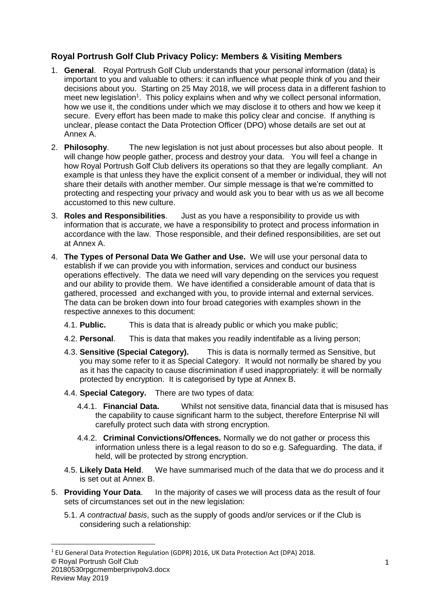# **Royal Portrush Golf Club Privacy Policy: Members & Visiting Members**

- 1. **General**. Royal Portrush Golf Club understands that your personal information (data) is important to you and valuable to others: it can influence what people think of you and their decisions about you. Starting on 25 May 2018, we will process data in a different fashion to meet new legislation<sup>1</sup>. This policy explains when and why we collect personal information, how we use it, the conditions under which we may disclose it to others and how we keep it secure. Every effort has been made to make this policy clear and concise. If anything is unclear, please contact the Data Protection Officer (DPO) whose details are set out at Annex A.
- 2. **Philosophy**. The new legislation is not just about processes but also about people. It will change how people gather, process and destroy your data. You will feel a change in how Royal Portrush Golf Club delivers its operations so that they are legally compliant. An example is that unless they have the explicit consent of a member or individual, they will not share their details with another member. Our simple message is that we're committed to protecting and respecting your privacy and would ask you to bear with us as we all become accustomed to this new culture.
- 3. **Roles and Responsibilities**. Just as you have a responsibility to provide us with information that is accurate, we have a responsibility to protect and process information in accordance with the law. Those responsible, and their defined responsibilities, are set out at Annex A.
- 4. **The Types of Personal Data We Gather and Use.** We will use your personal data to establish if we can provide you with information, services and conduct our business operations effectively.The data we need will vary depending on the services you request and our ability to provide them. We have identified a considerable amount of data that is gathered, processed and exchanged with you, to provide internal and external services. The data can be broken down into four broad categories with examples shown in the respective annexes to this document:
	- 4.1. **Public.** This is data that is already public or which you make public;
	- 4.2. **Personal**. This is data that makes you readily indentifable as a living person;
	- 4.3. **Sensitive (Special Category).** This is data is normally termed as Sensitive, but you may some refer to it as Special Category. It would not normally be shared by you as it has the capacity to cause discrimination if used inappropriately: it will be normally protected by encryption. It is categorised by type at Annex B.
	- 4.4. **Special Category.** There are two types of data:
		- 4.4.1. **Financial Data.** Whilst not sensitive data, financial data that is misused has the capability to cause significant harm to the subject, therefore Enterprise NI will carefully protect such data with strong encryption.
		- 4.4.2. **Criminal Convictions/Offences.** Normally we do not gather or process this information unless there is a legal reason to do so e.g. Safeguarding. The data, if held, will be protected by strong encryption.
	- 4.5. **Likely Data Held**. We have summarised much of the data that we do process and it is set out at Annex B.
- 5. **Providing Your Data**. In the majority of cases we will process data as the result of four sets of circumstances set out in the new legislation:
	- 5.1. *A contractual basis*, such as the supply of goods and/or services or if the Club is considering such a relationship:

**<sup>©</sup>** Royal Portrush Golf Club 20180530rpgcmemberprivpolv3.docx Review May 2019 <sup>1</sup> EU General Data Protection Regulation (GDPR) 2016, UK Data Protection Act (DPA) 2018.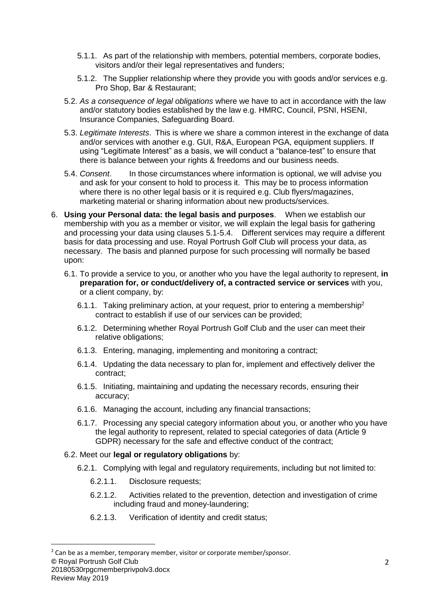- 5.1.1. As part of the relationship with members, potential members, corporate bodies, visitors and/or their legal representatives and funders;
- 5.1.2. The Supplier relationship where they provide you with goods and/or services e.g. Pro Shop, Bar & Restaurant;
- 5.2. *As a consequence of legal obligations* where we have to act in accordance with the law and/or statutory bodies established by the law e.g. HMRC, Council, PSNI, HSENI, Insurance Companies, Safeguarding Board.
- 5.3. *Legitimate Interests*. This is where we share a common interest in the exchange of data and/or services with another e.g. GUI, R&A, European PGA, equipment suppliers. If using "Legitimate Interest" as a basis, we will conduct a "balance-test" to ensure that there is balance between your rights & freedoms and our business needs.
- 5.4. *Consent*. In those circumstances where information is optional, we will advise you and ask for your consent to hold to process it. This may be to process information where there is no other legal basis or it is required e.g. Club flyers/magazines, marketing material or sharing information about new products/services.
- 6. **Using your Personal data: the legal basis and purposes**. When we establish our membership with you as a member or visitor, we will explain the legal basis for gathering and processing your data using clauses 5.1-5.4. Different services may require a different basis for data processing and use. Royal Portrush Golf Club will process your data, as necessary. The basis and planned purpose for such processing will normally be based upon:
	- 6.1. To provide a service to you, or another who you have the legal authority to represent, **in preparation for, or conduct/delivery of, a contracted service or services** with you, or a client company, by:
		- 6.1.1. Taking preliminary action, at your request, prior to entering a membership<sup>2</sup> contract to establish if use of our services can be provided;
		- 6.1.2. Determining whether Royal Portrush Golf Club and the user can meet their relative obligations;
		- 6.1.3. Entering, managing, implementing and monitoring a contract;
		- 6.1.4. Updating the data necessary to plan for, implement and effectively deliver the contract;
		- 6.1.5. Initiating, maintaining and updating the necessary records, ensuring their accuracy;
		- 6.1.6. Managing the account, including any financial transactions;
		- 6.1.7. Processing any special category information about you, or another who you have the legal authority to represent, related to special categories of data (Article 9 GDPR) necessary for the safe and effective conduct of the contract;

## 6.2. Meet our **legal or regulatory obligations** by:

- 6.2.1. Complying with legal and regulatory requirements, including but not limited to:
	- 6.2.1.1. Disclosure requests;
	- 6.2.1.2. Activities related to the prevention, detection and investigation of crime including fraud and money-laundering;
	- 6.2.1.3. Verification of identity and credit status;

20180530rpgcmemberprivpolv3.docx

**<sup>©</sup>** Royal Portrush Golf Club  $2$  Can be as a member, temporary member, visitor or corporate member/sponsor.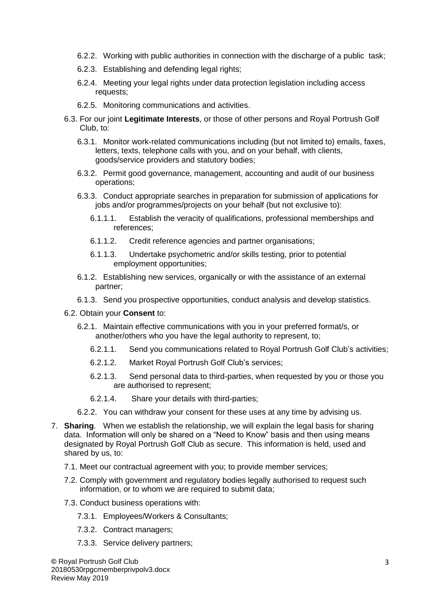- 6.2.2. Working with public authorities in connection with the discharge of a public task;
- 6.2.3. Establishing and defending legal rights;
- 6.2.4. Meeting your legal rights under data protection legislation including access requests;
- 6.2.5. Monitoring communications and activities.
- 6.3. For our joint **Legitimate Interests**, or those of other persons and Royal Portrush Golf Club, to:
	- 6.3.1. Monitor work-related communications including (but not limited to) emails, faxes, letters, texts, telephone calls with you, and on your behalf, with clients, goods/service providers and statutory bodies;
	- 6.3.2. Permit good governance, management, accounting and audit of our business operations;
	- 6.3.3. Conduct appropriate searches in preparation for submission of applications for jobs and/or programmes/projects on your behalf (but not exclusive to):
		- 6.1.1.1. Establish the veracity of qualifications, professional memberships and references;
		- 6.1.1.2. Credit reference agencies and partner organisations;
		- 6.1.1.3. Undertake psychometric and/or skills testing, prior to potential employment opportunities;
	- 6.1.2. Establishing new services, organically or with the assistance of an external partner;
	- 6.1.3. Send you prospective opportunities, conduct analysis and develop statistics.
- 6.2. Obtain your **Consent** to:
	- 6.2.1. Maintain effective communications with you in your preferred format/s, or another/others who you have the legal authority to represent, to;
		- 6.2.1.1. Send you communications related to Royal Portrush Golf Club's activities;
		- 6.2.1.2. Market Royal Portrush Golf Club's services;
		- 6.2.1.3. Send personal data to third-parties, when requested by you or those you are authorised to represent;
		- 6.2.1.4. Share your details with third-parties;
	- 6.2.2. You can withdraw your consent for these uses at any time by advising us.
- 7. **Sharing**. When we establish the relationship, we will explain the legal basis for sharing data. Information will only be shared on a "Need to Know" basis and then using means designated by Royal Portrush Golf Club as secure. This information is held, used and shared by us, to:
	- 7.1. Meet our contractual agreement with you; to provide member services;
	- 7.2. Comply with government and regulatory bodies legally authorised to request such information, or to whom we are required to submit data;
	- 7.3. Conduct business operations with:
		- 7.3.1. Employees/Workers & Consultants;
		- 7.3.2. Contract managers;
		- 7.3.3. Service delivery partners;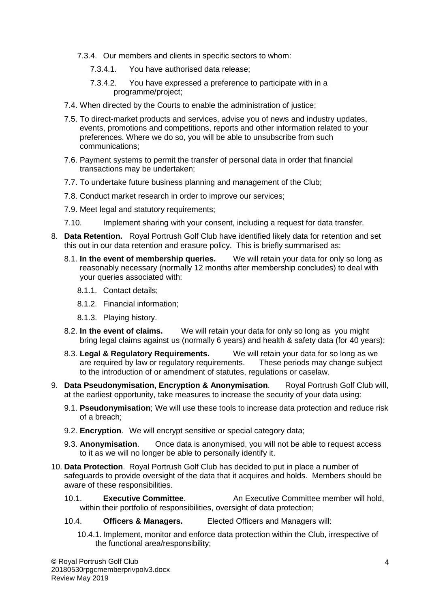- 7.3.4. Our members and clients in specific sectors to whom:
	- 7.3.4.1. You have authorised data release;
	- 7.3.4.2. You have expressed a preference to participate with in a programme/project;
- 7.4. When directed by the Courts to enable the administration of justice;
- 7.5. To direct-market products and services, advise you of news and industry updates, events, promotions and competitions, reports and other information related to your preferences. Where we do so, you will be able to unsubscribe from such communications;
- 7.6. Payment systems to permit the transfer of personal data in order that financial transactions may be undertaken;
- 7.7. To undertake future business planning and management of the Club;
- 7.8. Conduct market research in order to improve our services;
- 7.9. Meet legal and statutory requirements;
- 7.10. Implement sharing with your consent, including a request for data transfer.
- 8. **Data Retention.** Royal Portrush Golf Club have identified likely data for retention and set this out in our data retention and erasure policy. This is briefly summarised as:
	- 8.1. **In the event of membership queries.** We will retain your data for only so long as reasonably necessary (normally 12 months after membership concludes) to deal with your queries associated with:
		- 8.1.1. Contact details;
		- 8.1.2. Financial information;
		- 8.1.3. Playing history.
	- 8.2. **In the event of claims.** We will retain your data for only so long as you might bring legal claims against us (normally 6 years) and health & safety data (for 40 years);
	- 8.3. **Legal & Regulatory Requirements.** We will retain your data for so long as we are required by law or regulatory requirements. These periods may change subject to the introduction of or amendment of statutes, regulations or caselaw.
- 9. **Data Pseudonymisation, Encryption & Anonymisation**. Royal Portrush Golf Club will, at the earliest opportunity, take measures to increase the security of your data using:
	- 9.1. **Pseudonymisation**; We will use these tools to increase data protection and reduce risk of a breach;
	- 9.2. **Encryption**. We will encrypt sensitive or special category data;
	- 9.3. **Anonymisation**. Once data is anonymised, you will not be able to request access to it as we will no longer be able to personally identify it.
- 10. **Data Protection**. Royal Portrush Golf Club has decided to put in place a number of safeguards to provide oversight of the data that it acquires and holds. Members should be aware of these responsibilities.
	- 10.1. **Executive Committee**. An Executive Committee member will hold, within their portfolio of responsibilities, oversight of data protection;
	- 10.4. **Officers & Managers.** Elected Officers and Managers will:
		- 10.4.1. Implement, monitor and enforce data protection within the Club, irrespective of the functional area/responsibility;

**©** Royal Portrush Golf Club 20180530rpgcmemberprivpolv3.docx Review May 2019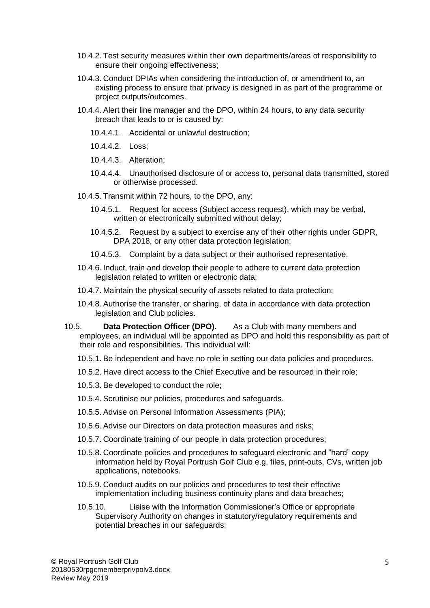- 10.4.2. Test security measures within their own departments/areas of responsibility to ensure their ongoing effectiveness;
- 10.4.3. Conduct DPIAs when considering the introduction of, or amendment to, an existing process to ensure that privacy is designed in as part of the programme or project outputs/outcomes.
- 10.4.4. Alert their line manager and the DPO, within 24 hours, to any data security breach that leads to or is caused by:
	- 10.4.4.1. Accidental or unlawful destruction;
	- 10.4.4.2. Loss;
	- 10.4.4.3. Alteration;
	- 10.4.4.4. Unauthorised disclosure of or access to, personal data transmitted, stored or otherwise processed.
- 10.4.5. Transmit within 72 hours, to the DPO, any:
	- 10.4.5.1. Request for access (Subject access request), which may be verbal, written or electronically submitted without delay:
	- 10.4.5.2. Request by a subject to exercise any of their other rights under GDPR, DPA 2018, or any other data protection legislation;
	- 10.4.5.3. Complaint by a data subject or their authorised representative.
- 10.4.6. Induct, train and develop their people to adhere to current data protection legislation related to written or electronic data;
- 10.4.7. Maintain the physical security of assets related to data protection;
- 10.4.8. Authorise the transfer, or sharing, of data in accordance with data protection legislation and Club policies.
- 10.5. **Data Protection Officer (DPO).** As a Club with many members and employees, an individual will be appointed as DPO and hold this responsibility as part of their role and responsibilities. This individual will:
	- 10.5.1. Be independent and have no role in setting our data policies and procedures.
	- 10.5.2. Have direct access to the Chief Executive and be resourced in their role;
	- 10.5.3. Be developed to conduct the role;
	- 10.5.4. Scrutinise our policies, procedures and safeguards.
	- 10.5.5. Advise on Personal Information Assessments (PIA);
	- 10.5.6. Advise our Directors on data protection measures and risks;
	- 10.5.7. Coordinate training of our people in data protection procedures;
	- 10.5.8. Coordinate policies and procedures to safeguard electronic and "hard" copy information held by Royal Portrush Golf Club e.g. files, print-outs, CVs, written job applications, notebooks.
	- 10.5.9. Conduct audits on our policies and procedures to test their effective implementation including business continuity plans and data breaches;
	- 10.5.10. Liaise with the Information Commissioner's Office or appropriate Supervisory Authority on changes in statutory/regulatory requirements and potential breaches in our safeguards;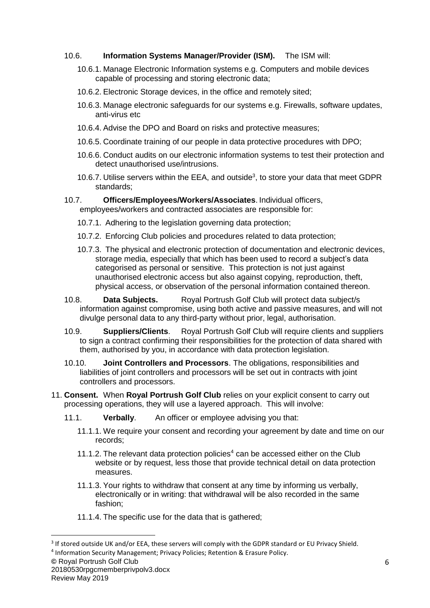## 10.6. **Information Systems Manager/Provider (ISM).** The ISM will:

- 10.6.1. Manage Electronic Information systems e.g. Computers and mobile devices capable of processing and storing electronic data;
- 10.6.2. Electronic Storage devices, in the office and remotely sited;
- 10.6.3. Manage electronic safeguards for our systems e.g. Firewalls, software updates, anti-virus etc
- 10.6.4. Advise the DPO and Board on risks and protective measures;
- 10.6.5. Coordinate training of our people in data protective procedures with DPO;
- 10.6.6. Conduct audits on our electronic information systems to test their protection and detect unauthorised use/intrusions.
- 10.6.7. Utilise servers within the EEA, and outside<sup>3</sup>, to store your data that meet GDPR standards;
- 10.7. **Officers/Employees/Workers/Associates**. Individual officers, employees/workers and contracted associates are responsible for:
	- 10.7.1. Adhering to the legislation governing data protection;
	- 10.7.2. Enforcing Club policies and procedures related to data protection;
	- 10.7.3. The physical and electronic protection of documentation and electronic devices, storage media, especially that which has been used to record a subject's data categorised as personal or sensitive. This protection is not just against unauthorised electronic access but also against copying, reproduction, theft, physical access, or observation of the personal information contained thereon.
- 10.8. **Data Subjects.** Royal Portrush Golf Club will protect data subject/s information against compromise, using both active and passive measures, and will not divulge personal data to any third-party without prior, legal, authorisation.
- 10.9. **Suppliers/Clients**. Royal Portrush Golf Club will require clients and suppliers to sign a contract confirming their responsibilities for the protection of data shared with them, authorised by you, in accordance with data protection legislation.
- 10.10. **Joint Controllers and Processors**. The obligations, responsibilities and liabilities of joint controllers and processors will be set out in contracts with joint controllers and processors.
- 11. **Consent.** When **Royal Portrush Golf Club** relies on your explicit consent to carry out processing operations, they will use a layered approach. This will involve:
	- 11.1. **Verbally**. An officer or employee advising you that:
		- 11.1.1. We require your consent and recording your agreement by date and time on our records;
		- 11.1.2. The relevant data protection policies<sup>4</sup> can be accessed either on the Club website or by request, less those that provide technical detail on data protection measures.
		- 11.1.3. Your rights to withdraw that consent at any time by informing us verbally, electronically or in writing: that withdrawal will be also recorded in the same fashion;
		- 11.1.4. The specific use for the data that is gathered;

 $3$  If stored outside UK and/or EEA, these servers will comply with the GDPR standard or EU Privacy Shield.

<sup>&</sup>lt;sup>4</sup> Information Security Management; Privacy Policies; Retention & Erasure Policy.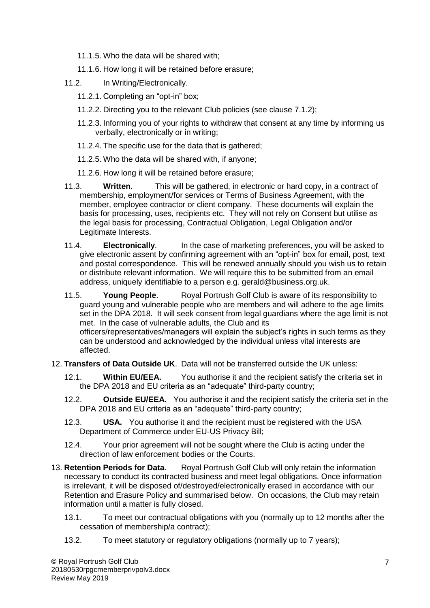- 11.1.5. Who the data will be shared with;
- 11.1.6. How long it will be retained before erasure;
- 11.2. In Writing/Electronically.
	- 11.2.1. Completing an "opt-in" box;
	- 11.2.2. Directing you to the relevant Club policies (see clause 7.1.2);
	- 11.2.3. Informing you of your rights to withdraw that consent at any time by informing us verbally, electronically or in writing;
	- 11.2.4. The specific use for the data that is gathered;
	- 11.2.5. Who the data will be shared with, if anyone;
	- 11.2.6. How long it will be retained before erasure;
- 11.3. **Written**. This will be gathered, in electronic or hard copy, in a contract of membership, employment/for services or Terms of Business Agreement, with the member, employee contractor or client company. These documents will explain the basis for processing, uses, recipients etc. They will not rely on Consent but utilise as the legal basis for processing, Contractual Obligation, Legal Obligation and/or Legitimate Interests.
- 11.4. **Electronically**. In the case of marketing preferences, you will be asked to give electronic assent by confirming agreement with an "opt-in" box for email, post, text and postal correspondence. This will be renewed annually should you wish us to retain or distribute relevant information. We will require this to be submitted from an email address, uniquely identifiable to a person e.g. gerald@business.org.uk.
- 11.5. **Young People**. Royal Portrush Golf Club is aware of its responsibility to guard young and vulnerable people who are members and will adhere to the age limits set in the DPA 2018. It will seek consent from legal guardians where the age limit is not met. In the case of vulnerable adults, the Club and its

officers/representatives/managers will explain the subject's rights in such terms as they can be understood and acknowledged by the individual unless vital interests are affected.

- 12. **Transfers of Data Outside UK**. Data will not be transferred outside the UK unless:
	- 12.1. **Within EU/EEA.** You authorise it and the recipient satisfy the criteria set in the DPA 2018 and EU criteria as an "adequate" third-party country;
	- 12.2. **Outside EU/EEA.** You authorise it and the recipient satisfy the criteria set in the DPA 2018 and EU criteria as an "adequate" third-party country;
	- 12.3. **USA.** You authorise it and the recipient must be registered with the USA Department of Commerce under EU-US Privacy Bill;
	- 12.4. Your prior agreement will not be sought where the Club is acting under the direction of law enforcement bodies or the Courts.
- 13. **Retention Periods for Data**. Royal Portrush Golf Club will only retain the information necessary to conduct its contracted business and meet legal obligations. Once information is irrelevant, it will be disposed of/destroyed/electronically erased in accordance with our Retention and Erasure Policy and summarised below. On occasions, the Club may retain information until a matter is fully closed.
	- 13.1. To meet our contractual obligations with you (normally up to 12 months after the cessation of membership/a contract);
	- 13.2. To meet statutory or regulatory obligations (normally up to 7 years);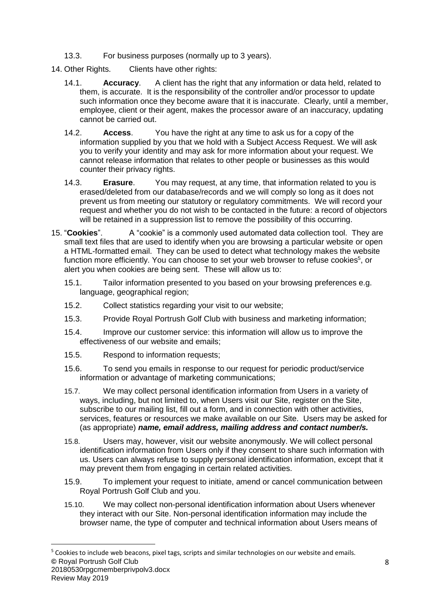- 13.3. For business purposes (normally up to 3 years).
- 14. Other Rights. Clients have other rights:
	- 14.1. **Accuracy**. A client has the right that any information or data held, related to them, is accurate. It is the responsibility of the controller and/or processor to update such information once they become aware that it is inaccurate. Clearly, until a member, employee, client or their agent, makes the processor aware of an inaccuracy, updating cannot be carried out.
	- 14.2. **Access**. You have the right at any time to ask us for a copy of the information supplied by you that we hold with a Subject Access Request. We will ask you to verify your identity and may ask for more information about your request. We cannot release information that relates to other people or businesses as this would counter their privacy rights.
	- 14.3. **Erasure**. You may request, at any time, that information related to you is erased/deleted from our database/records and we will comply so long as it does not prevent us from meeting our statutory or regulatory commitments. We will record your request and whether you do not wish to be contacted in the future: a record of objectors will be retained in a suppression list to remove the possibility of this occurring.
- 15. "**Cookies**". A "cookie" is a commonly used automated data collection tool. They are small text files that are used to identify when you are browsing a particular website or open a HTML-formatted email. They can be used to detect what technology makes the website function more efficiently. You can choose to set your web browser to refuse cookies<sup>5</sup>, or alert you when cookies are being sent. These will allow us to:
	- 15.1. Tailor information presented to you based on your browsing preferences e.g. language, geographical region;
	- 15.2. Collect statistics regarding your visit to our website;
	- 15.3. Provide Royal Portrush Golf Club with business and marketing information;
	- 15.4. Improve our customer service: this information will allow us to improve the effectiveness of our website and emails;
	- 15.5. Respond to information requests;

- 15.6. To send you emails in response to our request for periodic product/service information or advantage of marketing communications;
- 15.7. We may collect personal identification information from Users in a variety of ways, including, but not limited to, when Users visit our Site, register on the Site, subscribe to our mailing list, fill out a form, and in connection with other activities, services, features or resources we make available on our Site. Users may be asked for (as appropriate) *name, email address, mailing address and contact number/s.*
- 15.8. Users may, however, visit our website anonymously. We will collect personal identification information from Users only if they consent to share such information with us. Users can always refuse to supply personal identification information, except that it may prevent them from engaging in certain related activities.
- 15.9. To implement your request to initiate, amend or cancel communication between Royal Portrush Golf Club and you.
- 15.10. We may collect non-personal identification information about Users whenever they interact with our Site. Non-personal identification information may include the browser name, the type of computer and technical information about Users means of

**<sup>©</sup>** Royal Portrush Golf Club 20180530rpgcmemberprivpolv3.docx Review May 2019 <sup>5</sup> Cookies to include web beacons, pixel tags, scripts and similar technologies on our website and emails.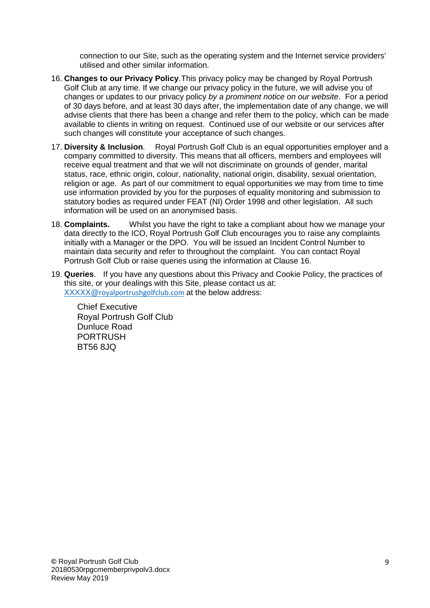connection to our Site, such as the operating system and the Internet service providers' utilised and other similar information.

- 16. **Changes to our Privacy Policy**.This privacy policy may be changed by Royal Portrush Golf Club at any time. If we change our privacy policy in the future, we will advise you of changes or updates to our privacy policy *by a prominent notice on our website*. For a period of 30 days before, and at least 30 days after, the implementation date of any change, we will advise clients that there has been a change and refer them to the policy, which can be made available to clients in writing on request. Continued use of our website or our services after such changes will constitute your acceptance of such changes.
- 17. **Diversity & Inclusion**. Royal Portrush Golf Club is an equal opportunities employer and a company committed to diversity. This means that all officers, members and employees will receive equal treatment and that we will not discriminate on grounds of gender, marital status, race, ethnic origin, colour, nationality, national origin, disability, sexual orientation, religion or age. As part of our commitment to equal opportunities we may from time to time use information provided by you for the purposes of equality monitoring and submission to statutory bodies as required under FEAT (NI) Order 1998 and other legislation. All such information will be used on an anonymised basis.
- 18. **Complaints.** Whilst you have the right to take a compliant about how we manage your data directly to the ICO, Royal Portrush Golf Club encourages you to raise any complaints initially with a Manager or the DPO. You will be issued an Incident Control Number to maintain data security and refer to throughout the complaint. You can contact Royal Portrush Golf Club or raise queries using the information at Clause 16.
- 19. **Queries**. If you have any questions about this Privacy and Cookie Policy, the practices of this site, or your dealings with this Site, please contact us at: XXXXX@[royalportrushgolfclub.com](mailto:XXXXX@royalportrushgolfclub.com) at the below address:

Chief Executive Royal Portrush Golf Club Dunluce Road PORTRUSH BT56 8JQ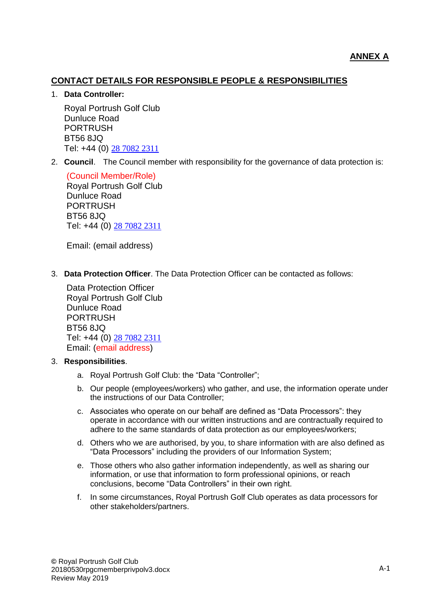## **CONTACT DETAILS FOR RESPONSIBLE PEOPLE & RESPONSIBILITIES**

#### 1. **Data Controller:**

Royal Portrush Golf Club Dunluce Road PORTRUSH BT56 8JQ Tel: +44 (0) [28 7082 2311](https://www.google.com/search?q=royal+protrush+golf+club&ie=utf-8&oe=utf-8&client=firefox-b-ab)

2. **Council**. The Council member with responsibility for the governance of data protection is:

(Council Member/Role) Royal Portrush Golf Club Dunluce Road PORTRUSH BT56 8JQ Tel: +44 (0) [28 7082 2311](https://www.google.com/search?q=royal+protrush+golf+club&ie=utf-8&oe=utf-8&client=firefox-b-ab)

Email: (email address)

3. **Data Protection Officer**. The Data Protection Officer can be contacted as follows:

Data Protection Officer Royal Portrush Golf Club Dunluce Road PORTRUSH BT56 8JQ Tel: +44 (0) [28 7082 2311](https://www.google.com/search?q=royal+protrush+golf+club&ie=utf-8&oe=utf-8&client=firefox-b-ab) Email: (email address)

#### 3. **Responsibilities**.

- a. Royal Portrush Golf Club: the "Data "Controller";
- b. Our people (employees/workers) who gather, and use, the information operate under the instructions of our Data Controller;
- c. Associates who operate on our behalf are defined as "Data Processors": they operate in accordance with our written instructions and are contractually required to adhere to the same standards of data protection as our employees/workers;
- d. Others who we are authorised, by you, to share information with are also defined as "Data Processors" including the providers of our Information System;
- e. Those others who also gather information independently, as well as sharing our information, or use that information to form professional opinions, or reach conclusions, become "Data Controllers" in their own right.
- f. In some circumstances, Royal Portrush Golf Club operates as data processors for other stakeholders/partners.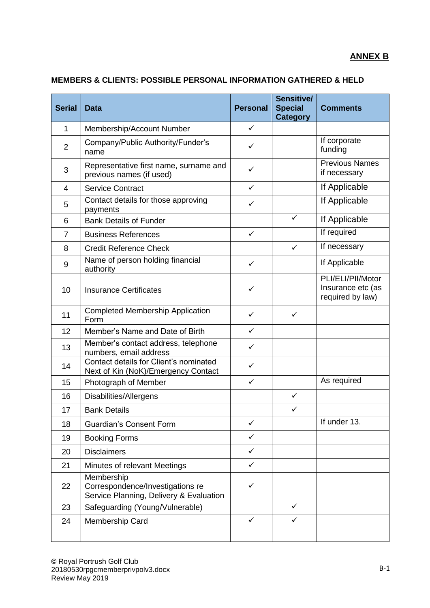## **MEMBERS & CLIENTS: POSSIBLE PERSONAL INFORMATION GATHERED & HELD**

| <b>Serial</b>  | <b>Data</b>                                                                               | <b>Personal</b> | Sensitive/<br><b>Special</b><br><b>Category</b> | <b>Comments</b>                                            |
|----------------|-------------------------------------------------------------------------------------------|-----------------|-------------------------------------------------|------------------------------------------------------------|
| 1              | Membership/Account Number                                                                 | $\checkmark$    |                                                 |                                                            |
| $\overline{2}$ | Company/Public Authority/Funder's<br>name                                                 | $\checkmark$    |                                                 | If corporate<br>funding                                    |
| 3              | Representative first name, surname and<br>previous names (if used)                        | $\checkmark$    |                                                 | <b>Previous Names</b><br>if necessary                      |
| $\overline{4}$ | <b>Service Contract</b>                                                                   | $\checkmark$    |                                                 | If Applicable                                              |
| 5              | Contact details for those approving<br>payments                                           | $\checkmark$    |                                                 | If Applicable                                              |
| 6              | <b>Bank Details of Funder</b>                                                             |                 | ✓                                               | If Applicable                                              |
| $\overline{7}$ | <b>Business References</b>                                                                | $\checkmark$    |                                                 | If required                                                |
| 8              | <b>Credit Reference Check</b>                                                             |                 | $\checkmark$                                    | If necessary                                               |
| $9\,$          | Name of person holding financial<br>authority                                             | $\checkmark$    |                                                 | If Applicable                                              |
| 10             | <b>Insurance Certificates</b>                                                             | $\checkmark$    |                                                 | PLI/ELI/PII/Motor<br>Insurance etc (as<br>required by law) |
| 11             | <b>Completed Membership Application</b><br>Form                                           | ✓               | $\checkmark$                                    |                                                            |
| 12             | Member's Name and Date of Birth                                                           | $\checkmark$    |                                                 |                                                            |
| 13             | Member's contact address, telephone<br>numbers, email address                             | ✓               |                                                 |                                                            |
| 14             | Contact details for Client's nominated<br>Next of Kin (NoK)/Emergency Contact             | ✓               |                                                 |                                                            |
| 15             | Photograph of Member                                                                      | $\checkmark$    |                                                 | As required                                                |
| 16             | Disabilities/Allergens                                                                    |                 | $\checkmark$                                    |                                                            |
| 17             | <b>Bank Details</b>                                                                       |                 | ✓                                               |                                                            |
| 18             | <b>Guardian's Consent Form</b>                                                            | $\checkmark$    |                                                 | If under 13.                                               |
| 19             | <b>Booking Forms</b>                                                                      | $\checkmark$    |                                                 |                                                            |
| 20             | <b>Disclaimers</b>                                                                        | $\checkmark$    |                                                 |                                                            |
| 21             | Minutes of relevant Meetings                                                              | $\checkmark$    |                                                 |                                                            |
| 22             | Membership<br>Correspondence/Investigations re<br>Service Planning, Delivery & Evaluation | $\checkmark$    |                                                 |                                                            |
| 23             | Safeguarding (Young/Vulnerable)                                                           |                 | $\checkmark$                                    |                                                            |
| 24             | Membership Card                                                                           | $\checkmark$    | $\checkmark$                                    |                                                            |
|                |                                                                                           |                 |                                                 |                                                            |